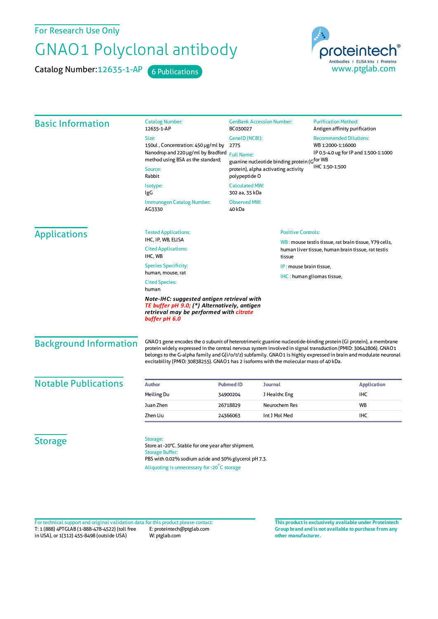For Research Use Only

## GNAO1 Polyclonal antibody

Catalog Number: 12635-1-AP 6 Publications



| <b>Basic Information</b>      | <b>Catalog Number:</b><br>12635-1-AP                                                                                                                                                                                                                                                                                                                                                                                                           | <b>GenBank Accession Number:</b><br>BC030027                                                                                                                                              |                           | <b>Purification Method:</b><br>Antigen affinity purification                                                |
|-------------------------------|------------------------------------------------------------------------------------------------------------------------------------------------------------------------------------------------------------------------------------------------------------------------------------------------------------------------------------------------------------------------------------------------------------------------------------------------|-------------------------------------------------------------------------------------------------------------------------------------------------------------------------------------------|---------------------------|-------------------------------------------------------------------------------------------------------------|
|                               | Size:                                                                                                                                                                                                                                                                                                                                                                                                                                          | GeneID (NCBI):<br><b>Recommended Dilutions:</b><br>WB 1:2000-1:16000<br>2775<br>IP 0.5-4.0 ug for IP and 1:500-1:1000<br><b>Full Name:</b><br>guanine nucleotide binding protein (Gfor WB |                           |                                                                                                             |
|                               | 150ul, Concentration: 450 µg/ml by<br>Nanodrop and 220 µg/ml by Bradford<br>method using BSA as the standard;                                                                                                                                                                                                                                                                                                                                  |                                                                                                                                                                                           |                           |                                                                                                             |
|                               |                                                                                                                                                                                                                                                                                                                                                                                                                                                |                                                                                                                                                                                           |                           |                                                                                                             |
|                               | Source:<br>Rabbit                                                                                                                                                                                                                                                                                                                                                                                                                              | IHC 1:50-1:500<br>protein), alpha activating activity<br>polypeptide O                                                                                                                    |                           |                                                                                                             |
|                               | Isotype:<br>IgG                                                                                                                                                                                                                                                                                                                                                                                                                                | <b>Calculated MW:</b><br>302 aa, 35 kDa                                                                                                                                                   |                           |                                                                                                             |
|                               | <b>Immunogen Catalog Number:</b><br>AG3330                                                                                                                                                                                                                                                                                                                                                                                                     | <b>Observed MW:</b><br>40 kDa                                                                                                                                                             |                           |                                                                                                             |
| <b>Applications</b>           | <b>Tested Applications:</b>                                                                                                                                                                                                                                                                                                                                                                                                                    |                                                                                                                                                                                           | <b>Positive Controls:</b> |                                                                                                             |
|                               | IHC, IP, WB, ELISA<br><b>Cited Applications:</b><br>IHC, WB<br>tissue                                                                                                                                                                                                                                                                                                                                                                          |                                                                                                                                                                                           |                           | WB: mouse testis tissue, rat brain tissue, Y79 cells,<br>human liver tissue, human brain tissue, rat testis |
|                               | <b>Species Specificity:</b>                                                                                                                                                                                                                                                                                                                                                                                                                    |                                                                                                                                                                                           | IP: mouse brain tissue.   |                                                                                                             |
|                               | human, mouse, rat<br>IHC: human gliomas tissue,                                                                                                                                                                                                                                                                                                                                                                                                |                                                                                                                                                                                           |                           |                                                                                                             |
|                               | <b>Cited Species:</b><br>human                                                                                                                                                                                                                                                                                                                                                                                                                 |                                                                                                                                                                                           |                           |                                                                                                             |
|                               | Note-IHC: suggested antigen retrieval with<br>TE buffer pH 9.0; (*) Alternatively, antigen<br>retrieval may be performed with citrate<br>buffer pH 6.0                                                                                                                                                                                                                                                                                         |                                                                                                                                                                                           |                           |                                                                                                             |
| <b>Background Information</b> | GNAO1 gene encodes the a subunit of heterotrimeric guanine nucleotide-binding protein (Gi protein), a membrane<br>protein widely expressed in the central nervous system involved in signal transduction (PMID: 30642806). GNAO1<br>belongs to the G-alpha family and G(i/o/t/z) subfamily. GNAO1 is highly expressed in brain and modulate neuronal<br>excitability (PMID: 30838255). GNAO1 has 2 isoforms with the molecular mass of 40 kDa. |                                                                                                                                                                                           |                           |                                                                                                             |
| <b>Notable Publications</b>   | <b>Author</b>                                                                                                                                                                                                                                                                                                                                                                                                                                  | <b>Pubmed ID</b><br>Journal                                                                                                                                                               |                           | <b>Application</b>                                                                                          |
|                               | Meiling Du                                                                                                                                                                                                                                                                                                                                                                                                                                     | 34900204                                                                                                                                                                                  | J Healthc Eng             | IHC                                                                                                         |
|                               | Juan Zhen                                                                                                                                                                                                                                                                                                                                                                                                                                      | 26718829                                                                                                                                                                                  | Neurochem Res             | WB                                                                                                          |
|                               | Zhen Liu                                                                                                                                                                                                                                                                                                                                                                                                                                       | 24366063                                                                                                                                                                                  | Int J Mol Med             | <b>IHC</b>                                                                                                  |
| <b>Storage</b>                | Storage:<br>Store at -20°C. Stable for one year after shipment.<br><b>Storage Buffer:</b><br>PBS with 0.02% sodium azide and 50% glycerol pH 7.3.<br>Aliquoting is unnecessary for -20°C storage                                                                                                                                                                                                                                               |                                                                                                                                                                                           |                           |                                                                                                             |

T: 1 (888) 4PTGLAB (1-888-478-4522) (toll free in USA), or 1(312) 455-8498 (outside USA) E: proteintech@ptglab.com W: ptglab.com Fortechnical support and original validation data forthis product please contact: **This productis exclusively available under Proteintech**

**Group brand and is not available to purchase from any other manufacturer.**